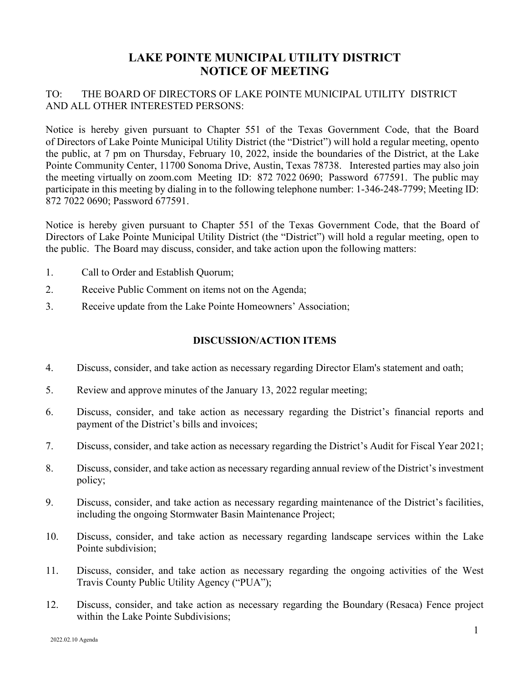## **LAKE POINTE MUNICIPAL UTILITY DISTRICT NOTICE OF MEETING**

## TO: THE BOARD OF DIRECTORS OF LAKE POINTE MUNICIPAL UTILITY DISTRICT AND ALL OTHER INTERESTED PERSONS:

Notice is hereby given pursuant to Chapter 551 of the Texas Government Code, that the Board of Directors of Lake Pointe Municipal Utility District (the "District") will hold a regular meeting, opento the public, at 7 pm on Thursday, February 10, 2022, inside the boundaries of the District, at the Lake Pointe Community Center, 11700 Sonoma Drive, Austin, Texas 78738. Interested parties may also join the meeting virtually on zoom.com Meeting ID: 872 7022 0690; Password 677591. The public may participate in this meeting by dialing in to the following telephone number: 1-346-248-7799; Meeting ID: 872 7022 0690; Password 677591.

Notice is hereby given pursuant to Chapter 551 of the Texas Government Code, that the Board of Directors of Lake Pointe Municipal Utility District (the "District") will hold a regular meeting, open to the public. The Board may discuss, consider, and take action upon the following matters:

- 1. Call to Order and Establish Quorum;
- 2. Receive Public Comment on items not on the Agenda;
- 3. Receive update from the Lake Pointe Homeowners' Association;

## **DISCUSSION/ACTION ITEMS**

- 4. Discuss, consider, and take action as necessary regarding Director Elam's statement and oath;
- 5. Review and approve minutes of the January 13, 2022 regular meeting;
- 6. Discuss, consider, and take action as necessary regarding the District's financial reports and payment of the District's bills and invoices;
- 7. Discuss, consider, and take action as necessary regarding the District's Audit for Fiscal Year 2021;
- 8. Discuss, consider, and take action as necessary regarding annual review of the District's investment policy;
- 9. Discuss, consider, and take action as necessary regarding maintenance of the District's facilities, including the ongoing Stormwater Basin Maintenance Project;
- 10. Discuss, consider, and take action as necessary regarding landscape services within the Lake Pointe subdivision;
- 11. Discuss, consider, and take action as necessary regarding the ongoing activities of the West Travis County Public Utility Agency ("PUA");
- 12. Discuss, consider, and take action as necessary regarding the Boundary (Resaca) Fence project within the Lake Pointe Subdivisions;